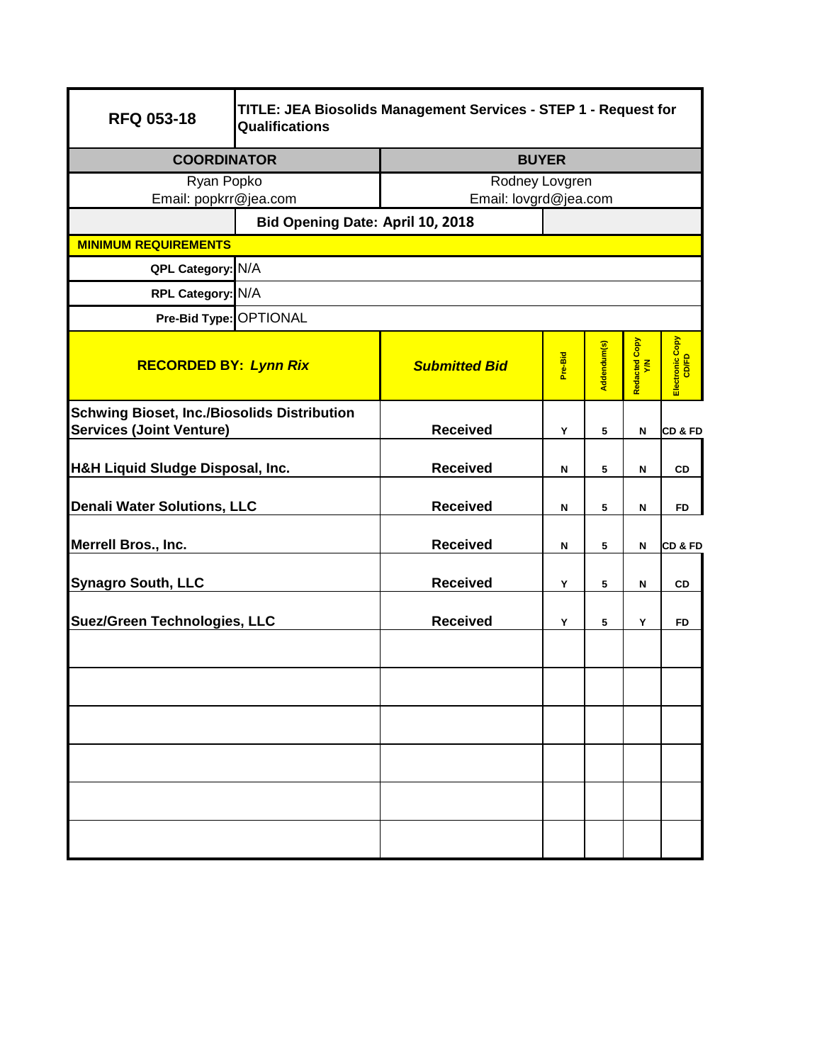| <b>RFQ 053-18</b>                                                                     | TITLE: JEA Biosolids Management Services - STEP 1 - Request for<br><b>Qualifications</b> |                      |                       |             |                      |                          |  |
|---------------------------------------------------------------------------------------|------------------------------------------------------------------------------------------|----------------------|-----------------------|-------------|----------------------|--------------------------|--|
| <b>COORDINATOR</b>                                                                    |                                                                                          | <b>BUYER</b>         |                       |             |                      |                          |  |
| Ryan Popko<br>Email: popkrr@jea.com                                                   |                                                                                          | Rodney Lovgren       |                       |             |                      |                          |  |
|                                                                                       |                                                                                          |                      | Email: lovgrd@jea.com |             |                      |                          |  |
| <b>MINIMUM REQUIREMENTS</b>                                                           | Bid Opening Date: April 10, 2018                                                         |                      |                       |             |                      |                          |  |
| QPL Category: N/A                                                                     |                                                                                          |                      |                       |             |                      |                          |  |
|                                                                                       |                                                                                          |                      |                       |             |                      |                          |  |
| RPL Category: N/A                                                                     |                                                                                          |                      |                       |             |                      |                          |  |
| Pre-Bid Type: OPTIONAL                                                                |                                                                                          |                      |                       |             |                      |                          |  |
| <b>RECORDED BY: Lynn Rix</b>                                                          |                                                                                          | <b>Submitted Bid</b> | Pre-Bid               | Addendum(s) | Redacted Copy<br>Y/N | Electronic Copy<br>CD/FD |  |
| <b>Schwing Bioset, Inc./Biosolids Distribution</b><br><b>Services (Joint Venture)</b> |                                                                                          | <b>Received</b>      | Y                     | 5           | Ν                    | CD & FD                  |  |
| <b>H&amp;H Liquid Sludge Disposal, Inc.</b>                                           |                                                                                          | <b>Received</b>      | N                     | 5           | N                    | <b>CD</b>                |  |
| <b>Denali Water Solutions, LLC</b>                                                    |                                                                                          | <b>Received</b>      | N                     | 5           | N                    | <b>FD</b>                |  |
| Merrell Bros., Inc.                                                                   |                                                                                          | <b>Received</b>      | N                     | 5           | Ν                    | <b>CD &amp; FD</b>       |  |
| <b>Synagro South, LLC</b>                                                             |                                                                                          | <b>Received</b>      | Y                     | 5           | Ν                    | CD                       |  |
| <b>Suez/Green Technologies, LLC</b>                                                   |                                                                                          | <b>Received</b>      | Y                     | 5           | Y                    | <b>FD</b>                |  |
|                                                                                       |                                                                                          |                      |                       |             |                      |                          |  |
|                                                                                       |                                                                                          |                      |                       |             |                      |                          |  |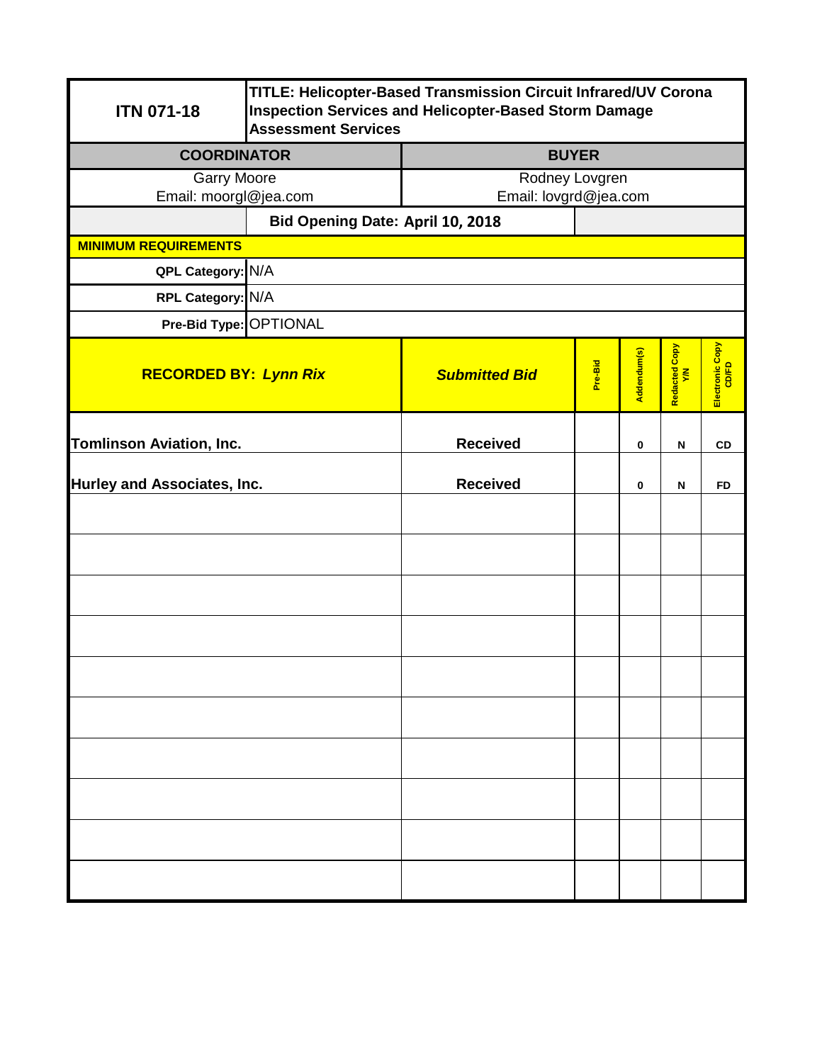| <b>ITN 071-18</b>               | TITLE: Helicopter-Based Transmission Circuit Infrared/UV Corona<br><b>Inspection Services and Helicopter-Based Storm Damage</b><br><b>Assessment Services</b> |                       |         |             |                           |                          |  |  |
|---------------------------------|---------------------------------------------------------------------------------------------------------------------------------------------------------------|-----------------------|---------|-------------|---------------------------|--------------------------|--|--|
| <b>COORDINATOR</b>              |                                                                                                                                                               | <b>BUYER</b>          |         |             |                           |                          |  |  |
| <b>Garry Moore</b>              |                                                                                                                                                               | Rodney Lovgren        |         |             |                           |                          |  |  |
| Email: moorgl@jea.com           |                                                                                                                                                               | Email: lovgrd@jea.com |         |             |                           |                          |  |  |
|                                 | Bid Opening Date: April 10, 2018                                                                                                                              |                       |         |             |                           |                          |  |  |
| <b>MINIMUM REQUIREMENTS</b>     |                                                                                                                                                               |                       |         |             |                           |                          |  |  |
| QPL Category: N/A               |                                                                                                                                                               |                       |         |             |                           |                          |  |  |
| RPL Category: N/A               |                                                                                                                                                               |                       |         |             |                           |                          |  |  |
|                                 | Pre-Bid Type: OPTIONAL                                                                                                                                        |                       |         |             |                           |                          |  |  |
| <b>RECORDED BY: Lynn Rix</b>    |                                                                                                                                                               | <b>Submitted Bid</b>  | Pre-Bid | Addendum(s) | Redacted Copy<br>Y/N      | Electronic Copy<br>CD/FD |  |  |
| <b>Tomlinson Aviation, Inc.</b> |                                                                                                                                                               | <b>Received</b>       |         | $\bf{0}$    | $\boldsymbol{\mathsf{N}}$ | CD                       |  |  |
| Hurley and Associates, Inc.     |                                                                                                                                                               | <b>Received</b>       |         | 0           | N                         | <b>FD</b>                |  |  |
|                                 |                                                                                                                                                               |                       |         |             |                           |                          |  |  |
|                                 |                                                                                                                                                               |                       |         |             |                           |                          |  |  |
|                                 |                                                                                                                                                               |                       |         |             |                           |                          |  |  |
|                                 |                                                                                                                                                               |                       |         |             |                           |                          |  |  |
|                                 |                                                                                                                                                               |                       |         |             |                           |                          |  |  |
|                                 |                                                                                                                                                               |                       |         |             |                           |                          |  |  |
|                                 |                                                                                                                                                               |                       |         |             |                           |                          |  |  |
|                                 |                                                                                                                                                               |                       |         |             |                           |                          |  |  |
|                                 |                                                                                                                                                               |                       |         |             |                           |                          |  |  |
|                                 |                                                                                                                                                               |                       |         |             |                           |                          |  |  |